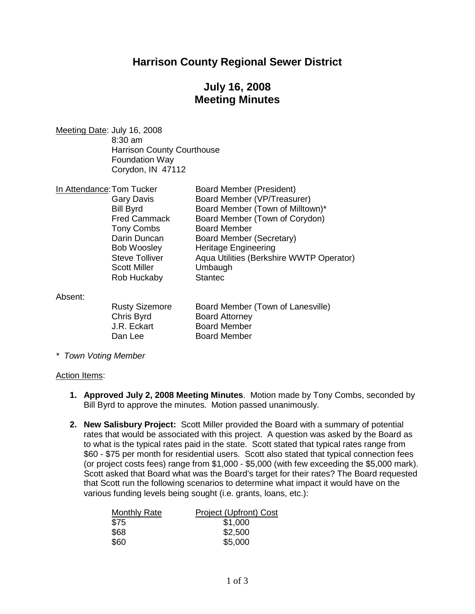## **Harrison County Regional Sewer District**

# **July 16, 2008 Meeting Minutes**

Meeting Date: July 16, 2008 8:30 am Harrison County Courthouse Foundation Way Corydon, IN 47112

| In Attendance: Tom Tucker | <b>Board Member (President)</b>          |
|---------------------------|------------------------------------------|
| <b>Gary Davis</b>         | Board Member (VP/Treasurer)              |
| <b>Bill Byrd</b>          | Board Member (Town of Milltown)*         |
| <b>Fred Cammack</b>       | Board Member (Town of Corydon)           |
| <b>Tony Combs</b>         | <b>Board Member</b>                      |
| Darin Duncan              | Board Member (Secretary)                 |
| <b>Bob Woosley</b>        | <b>Heritage Engineering</b>              |
| <b>Steve Tolliver</b>     | Aqua Utilities (Berkshire WWTP Operator) |
| <b>Scott Miller</b>       | Umbaugh                                  |
| Rob Huckaby               | <b>Stantec</b>                           |
|                           |                                          |

Absent:

| <b>Rusty Sizemore</b> | B |
|-----------------------|---|
| Chris Byrd            | В |
| J.R. Eckart           | В |
| Dan Lee               | B |

Roard Member (Town of Lanesville) oard Attorney **Joard Member** oard Member

*\* Town Voting Member*

#### Action Items:

- **1. Approved July 2, 2008 Meeting Minutes**. Motion made by Tony Combs, seconded by Bill Byrd to approve the minutes. Motion passed unanimously.
- **2. New Salisbury Project:** Scott Miller provided the Board with a summary of potential rates that would be associated with this project. A question was asked by the Board as to what is the typical rates paid in the state. Scott stated that typical rates range from \$60 - \$75 per month for residential users. Scott also stated that typical connection fees (or project costs fees) range from \$1,000 - \$5,000 (with few exceeding the \$5,000 mark). Scott asked that Board what was the Board's target for their rates? The Board requested that Scott run the following scenarios to determine what impact it would have on the various funding levels being sought (i.e. grants, loans, etc.):

| <b>Monthly Rate</b> | <b>Project (Upfront) Cost</b> |
|---------------------|-------------------------------|
| \$75                | \$1,000                       |
| \$68                | \$2,500                       |
| \$60                | \$5,000                       |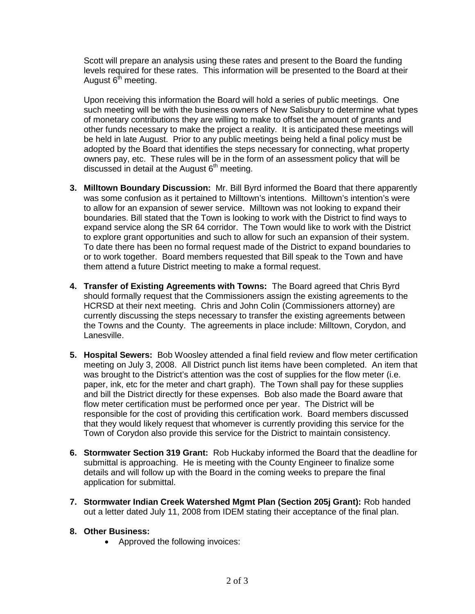Scott will prepare an analysis using these rates and present to the Board the funding levels required for these rates. This information will be presented to the Board at their August  $6<sup>th</sup>$  meeting.

Upon receiving this information the Board will hold a series of public meetings. One such meeting will be with the business owners of New Salisbury to determine what types of monetary contributions they are willing to make to offset the amount of grants and other funds necessary to make the project a reality. It is anticipated these meetings will be held in late August. Prior to any public meetings being held a final policy must be adopted by the Board that identifies the steps necessary for connecting, what property owners pay, etc. These rules will be in the form of an assessment policy that will be discussed in detail at the August  $6<sup>th</sup>$  meeting.

- **3. Milltown Boundary Discussion:** Mr. Bill Byrd informed the Board that there apparently was some confusion as it pertained to Milltown's intentions. Milltown's intention's were to allow for an expansion of sewer service. Milltown was not looking to expand their boundaries. Bill stated that the Town is looking to work with the District to find ways to expand service along the SR 64 corridor. The Town would like to work with the District to explore grant opportunities and such to allow for such an expansion of their system. To date there has been no formal request made of the District to expand boundaries to or to work together. Board members requested that Bill speak to the Town and have them attend a future District meeting to make a formal request.
- **4. Transfer of Existing Agreements with Towns:** The Board agreed that Chris Byrd should formally request that the Commissioners assign the existing agreements to the HCRSD at their next meeting. Chris and John Colin (Commissioners attorney) are currently discussing the steps necessary to transfer the existing agreements between the Towns and the County. The agreements in place include: Milltown, Corydon, and Lanesville.
- **5. Hospital Sewers:** Bob Woosley attended a final field review and flow meter certification meeting on July 3, 2008. All District punch list items have been completed. An item that was brought to the District's attention was the cost of supplies for the flow meter (i.e. paper, ink, etc for the meter and chart graph). The Town shall pay for these supplies and bill the District directly for these expenses. Bob also made the Board aware that flow meter certification must be performed once per year. The District will be responsible for the cost of providing this certification work. Board members discussed that they would likely request that whomever is currently providing this service for the Town of Corydon also provide this service for the District to maintain consistency.
- **6. Stormwater Section 319 Grant:** Rob Huckaby informed the Board that the deadline for submittal is approaching. He is meeting with the County Engineer to finalize some details and will follow up with the Board in the coming weeks to prepare the final application for submittal.
- **7. Stormwater Indian Creek Watershed Mgmt Plan (Section 205j Grant):** Rob handed out a letter dated July 11, 2008 from IDEM stating their acceptance of the final plan.

## **8. Other Business:**

• Approved the following invoices: